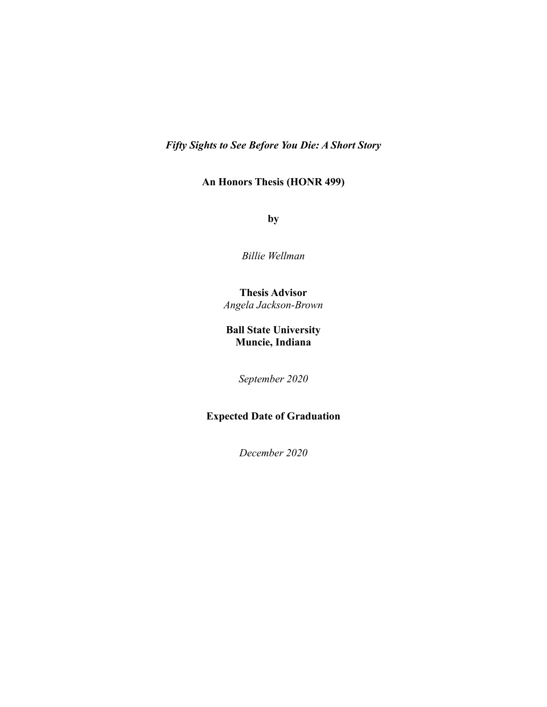*Fifty Sights to See Before You Die: A Short Story*

# **An Honors Thesis (HONR 499)**

**by**

*Billie Wellman*

# **Thesis Advisor** *Angela Jackson-Brown*

# **Ball State University Muncie, Indiana**

*September 2020*

# **Expected Date of Graduation**

*December 2020*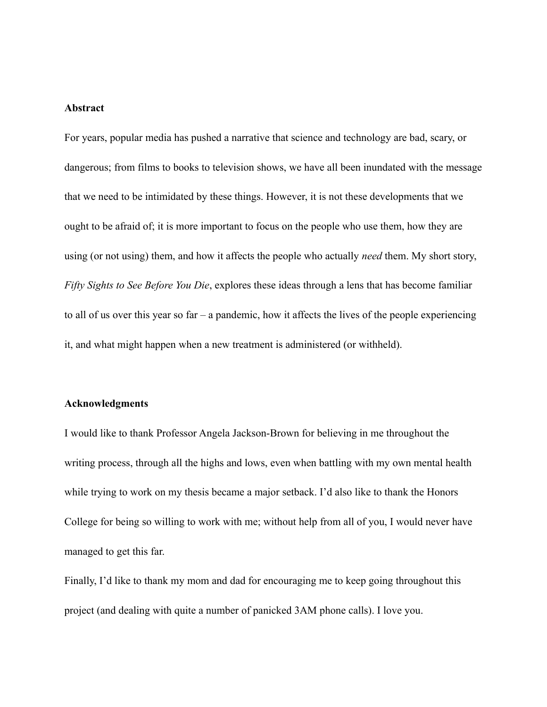### **Abstract**

For years, popular media has pushed a narrative that science and technology are bad, scary, or dangerous; from films to books to television shows, we have all been inundated with the message that we need to be intimidated by these things. However, it is not these developments that we ought to be afraid of; it is more important to focus on the people who use them, how they are using (or not using) them, and how it affects the people who actually *need* them. My short story, *Fifty Sights to See Before You Die*, explores these ideas through a lens that has become familiar to all of us over this year so far – a pandemic, how it affects the lives of the people experiencing it, and what might happen when a new treatment is administered (or withheld).

### **Acknowledgments**

I would like to thank Professor Angela Jackson-Brown for believing in me throughout the writing process, through all the highs and lows, even when battling with my own mental health while trying to work on my thesis became a major setback. I'd also like to thank the Honors College for being so willing to work with me; without help from all of you, I would never have managed to get this far.

Finally, I'd like to thank my mom and dad for encouraging me to keep going throughout this project (and dealing with quite a number of panicked 3AM phone calls). I love you.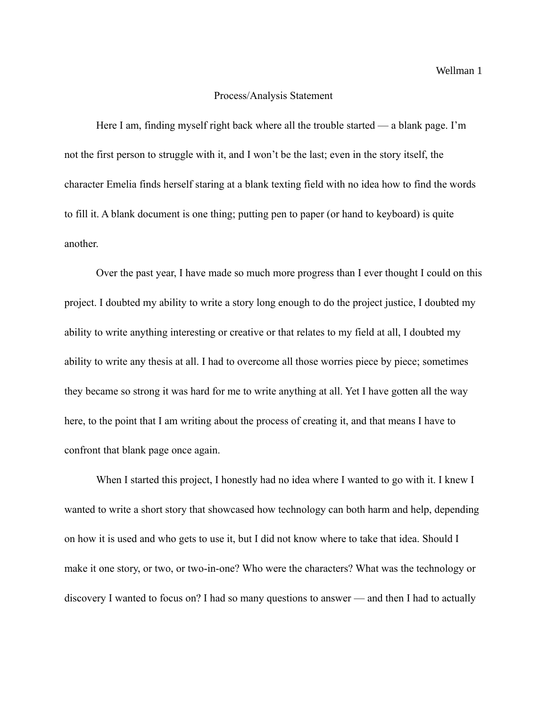### Process/Analysis Statement

Here I am, finding myself right back where all the trouble started — a blank page. I'm not the first person to struggle with it, and I won't be the last; even in the story itself, the character Emelia finds herself staring at a blank texting field with no idea how to find the words to fill it. A blank document is one thing; putting pen to paper (or hand to keyboard) is quite another.

Over the past year, I have made so much more progress than I ever thought I could on this project. I doubted my ability to write a story long enough to do the project justice, I doubted my ability to write anything interesting or creative or that relates to my field at all, I doubted my ability to write any thesis at all. I had to overcome all those worries piece by piece; sometimes they became so strong it was hard for me to write anything at all. Yet I have gotten all the way here, to the point that I am writing about the process of creating it, and that means I have to confront that blank page once again.

When I started this project, I honestly had no idea where I wanted to go with it. I knew I wanted to write a short story that showcased how technology can both harm and help, depending on how it is used and who gets to use it, but I did not know where to take that idea. Should I make it one story, or two, or two-in-one? Who were the characters? What was the technology or discovery I wanted to focus on? I had so many questions to answer — and then I had to actually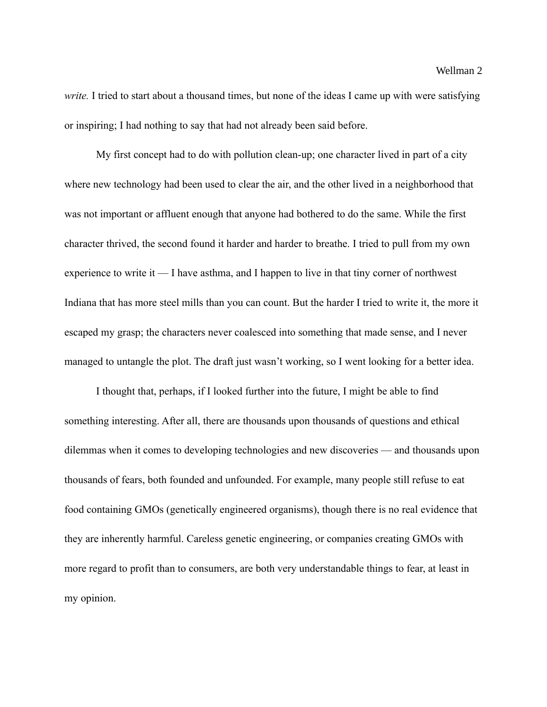*write.* I tried to start about a thousand times, but none of the ideas I came up with were satisfying or inspiring; I had nothing to say that had not already been said before.

My first concept had to do with pollution clean-up; one character lived in part of a city where new technology had been used to clear the air, and the other lived in a neighborhood that was not important or affluent enough that anyone had bothered to do the same. While the first character thrived, the second found it harder and harder to breathe. I tried to pull from my own experience to write it  $\equiv$  I have asthma, and I happen to live in that tiny corner of northwest Indiana that has more steel mills than you can count. But the harder I tried to write it, the more it escaped my grasp; the characters never coalesced into something that made sense, and I never managed to untangle the plot. The draft just wasn't working, so I went looking for a better idea.

I thought that, perhaps, if I looked further into the future, I might be able to find something interesting. After all, there are thousands upon thousands of questions and ethical dilemmas when it comes to developing technologies and new discoveries — and thousands upon thousands of fears, both founded and unfounded. For example, many people still refuse to eat food containing GMOs (genetically engineered organisms), though there is no real evidence that they are inherently harmful. Careless genetic engineering, or companies creating GMOs with more regard to profit than to consumers, are both very understandable things to fear, at least in my opinion.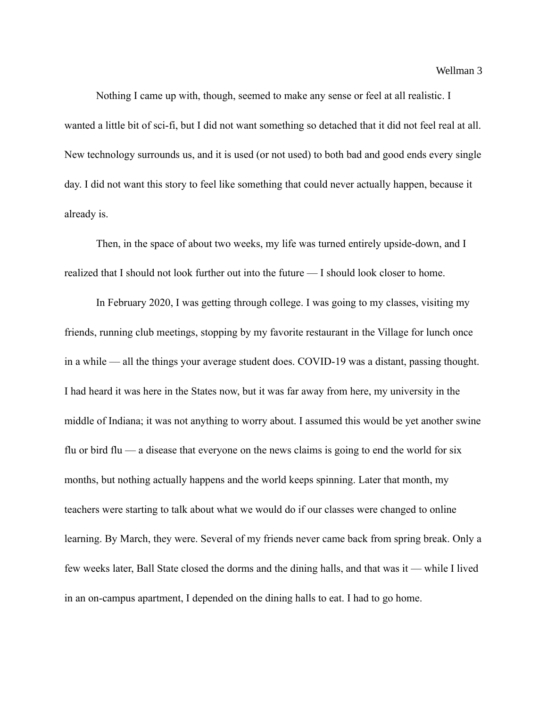Nothing I came up with, though, seemed to make any sense or feel at all realistic. I wanted a little bit of sci-fi, but I did not want something so detached that it did not feel real at all. New technology surrounds us, and it is used (or not used) to both bad and good ends every single day. I did not want this story to feel like something that could never actually happen, because it already is.

Then, in the space of about two weeks, my life was turned entirely upside-down, and I realized that I should not look further out into the future — I should look closer to home.

In February 2020, I was getting through college. I was going to my classes, visiting my friends, running club meetings, stopping by my favorite restaurant in the Village for lunch once in a while — all the things your average student does. COVID-19 was a distant, passing thought. I had heard it was here in the States now, but it was far away from here, my university in the middle of Indiana; it was not anything to worry about. I assumed this would be yet another swine flu or bird flu — a disease that everyone on the news claims is going to end the world for six months, but nothing actually happens and the world keeps spinning. Later that month, my teachers were starting to talk about what we would do if our classes were changed to online learning. By March, they were. Several of my friends never came back from spring break. Only a few weeks later, Ball State closed the dorms and the dining halls, and that was it — while I lived in an on-campus apartment, I depended on the dining halls to eat. I had to go home.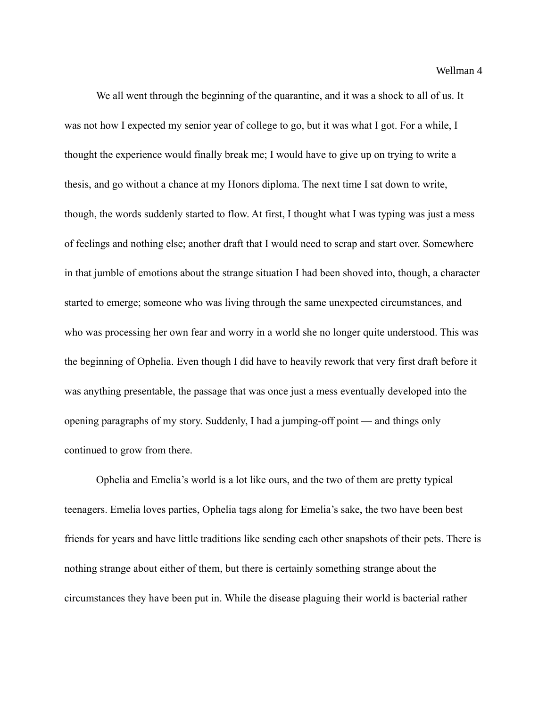We all went through the beginning of the quarantine, and it was a shock to all of us. It was not how I expected my senior year of college to go, but it was what I got. For a while, I thought the experience would finally break me; I would have to give up on trying to write a thesis, and go without a chance at my Honors diploma. The next time I sat down to write, though, the words suddenly started to flow. At first, I thought what I was typing was just a mess of feelings and nothing else; another draft that I would need to scrap and start over. Somewhere in that jumble of emotions about the strange situation I had been shoved into, though, a character started to emerge; someone who was living through the same unexpected circumstances, and who was processing her own fear and worry in a world she no longer quite understood. This was the beginning of Ophelia. Even though I did have to heavily rework that very first draft before it was anything presentable, the passage that was once just a mess eventually developed into the opening paragraphs of my story. Suddenly, I had a jumping-off point — and things only continued to grow from there.

Ophelia and Emelia's world is a lot like ours, and the two of them are pretty typical teenagers. Emelia loves parties, Ophelia tags along for Emelia's sake, the two have been best friends for years and have little traditions like sending each other snapshots of their pets. There is nothing strange about either of them, but there is certainly something strange about the circumstances they have been put in. While the disease plaguing their world is bacterial rather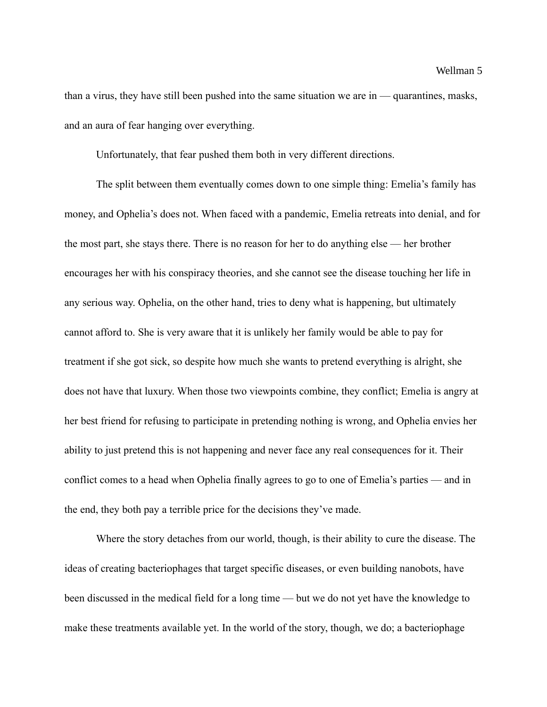than a virus, they have still been pushed into the same situation we are in — quarantines, masks, and an aura of fear hanging over everything.

Unfortunately, that fear pushed them both in very different directions.

The split between them eventually comes down to one simple thing: Emelia's family has money, and Ophelia's does not. When faced with a pandemic, Emelia retreats into denial, and for the most part, she stays there. There is no reason for her to do anything else — her brother encourages her with his conspiracy theories, and she cannot see the disease touching her life in any serious way. Ophelia, on the other hand, tries to deny what is happening, but ultimately cannot afford to. She is very aware that it is unlikely her family would be able to pay for treatment if she got sick, so despite how much she wants to pretend everything is alright, she does not have that luxury. When those two viewpoints combine, they conflict; Emelia is angry at her best friend for refusing to participate in pretending nothing is wrong, and Ophelia envies her ability to just pretend this is not happening and never face any real consequences for it. Their conflict comes to a head when Ophelia finally agrees to go to one of Emelia's parties — and in the end, they both pay a terrible price for the decisions they've made.

Where the story detaches from our world, though, is their ability to cure the disease. The ideas of creating bacteriophages that target specific diseases, or even building nanobots, have been discussed in the medical field for a long time — but we do not yet have the knowledge to make these treatments available yet. In the world of the story, though, we do; a bacteriophage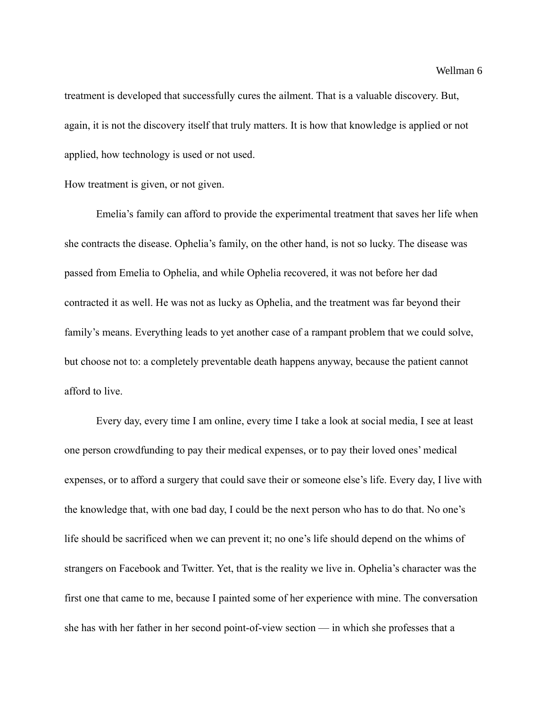treatment is developed that successfully cures the ailment. That is a valuable discovery. But, again, it is not the discovery itself that truly matters. It is how that knowledge is applied or not applied, how technology is used or not used.

How treatment is given, or not given.

Emelia's family can afford to provide the experimental treatment that saves her life when she contracts the disease. Ophelia's family, on the other hand, is not so lucky. The disease was passed from Emelia to Ophelia, and while Ophelia recovered, it was not before her dad contracted it as well. He was not as lucky as Ophelia, and the treatment was far beyond their family's means. Everything leads to yet another case of a rampant problem that we could solve, but choose not to: a completely preventable death happens anyway, because the patient cannot afford to live.

Every day, every time I am online, every time I take a look at social media, I see at least one person crowdfunding to pay their medical expenses, or to pay their loved ones' medical expenses, or to afford a surgery that could save their or someone else's life. Every day, I live with the knowledge that, with one bad day, I could be the next person who has to do that. No one's life should be sacrificed when we can prevent it; no one's life should depend on the whims of strangers on Facebook and Twitter. Yet, that is the reality we live in. Ophelia's character was the first one that came to me, because I painted some of her experience with mine. The conversation she has with her father in her second point-of-view section — in which she professes that a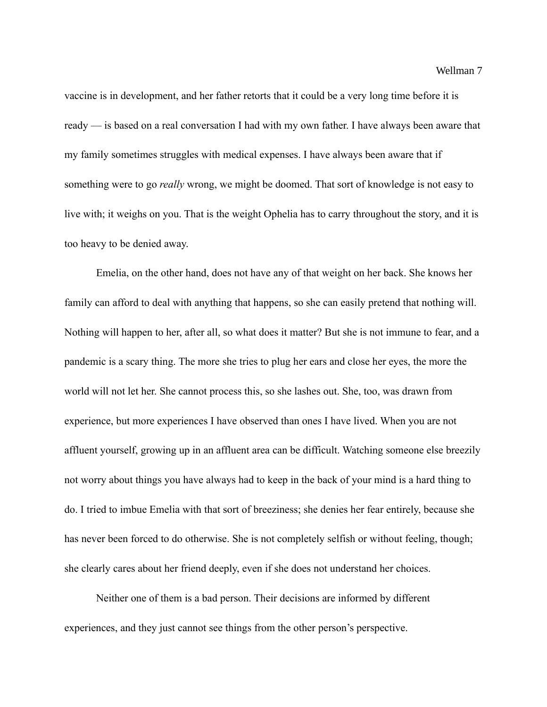vaccine is in development, and her father retorts that it could be a very long time before it is ready — is based on a real conversation I had with my own father. I have always been aware that my family sometimes struggles with medical expenses. I have always been aware that if something were to go *really* wrong, we might be doomed. That sort of knowledge is not easy to live with; it weighs on you. That is the weight Ophelia has to carry throughout the story, and it is too heavy to be denied away.

Emelia, on the other hand, does not have any of that weight on her back. She knows her family can afford to deal with anything that happens, so she can easily pretend that nothing will. Nothing will happen to her, after all, so what does it matter? But she is not immune to fear, and a pandemic is a scary thing. The more she tries to plug her ears and close her eyes, the more the world will not let her. She cannot process this, so she lashes out. She, too, was drawn from experience, but more experiences I have observed than ones I have lived. When you are not affluent yourself, growing up in an affluent area can be difficult. Watching someone else breezily not worry about things you have always had to keep in the back of your mind is a hard thing to do. I tried to imbue Emelia with that sort of breeziness; she denies her fear entirely, because she has never been forced to do otherwise. She is not completely selfish or without feeling, though; she clearly cares about her friend deeply, even if she does not understand her choices.

Neither one of them is a bad person. Their decisions are informed by different experiences, and they just cannot see things from the other person's perspective.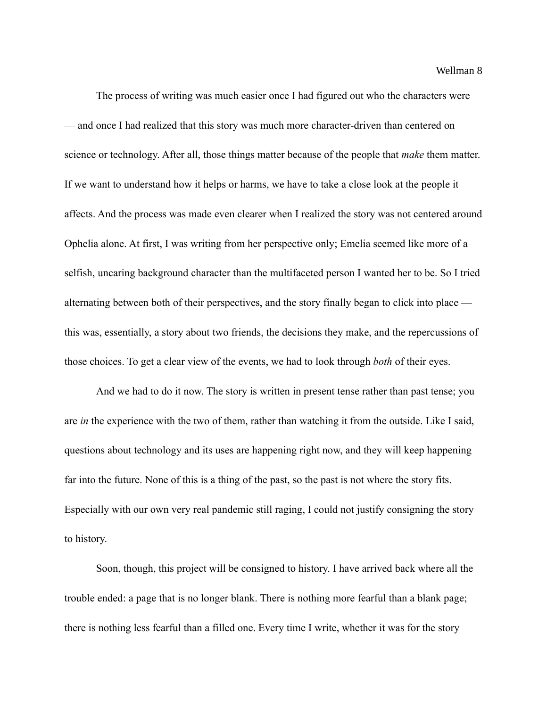The process of writing was much easier once I had figured out who the characters were — and once I had realized that this story was much more character-driven than centered on science or technology. After all, those things matter because of the people that *make* them matter. If we want to understand how it helps or harms, we have to take a close look at the people it affects. And the process was made even clearer when I realized the story was not centered around Ophelia alone. At first, I was writing from her perspective only; Emelia seemed like more of a selfish, uncaring background character than the multifaceted person I wanted her to be. So I tried alternating between both of their perspectives, and the story finally began to click into place this was, essentially, a story about two friends, the decisions they make, and the repercussions of those choices. To get a clear view of the events, we had to look through *both* of their eyes.

And we had to do it now. The story is written in present tense rather than past tense; you are *in* the experience with the two of them, rather than watching it from the outside. Like I said, questions about technology and its uses are happening right now, and they will keep happening far into the future. None of this is a thing of the past, so the past is not where the story fits. Especially with our own very real pandemic still raging, I could not justify consigning the story to history.

Soon, though, this project will be consigned to history. I have arrived back where all the trouble ended: a page that is no longer blank. There is nothing more fearful than a blank page; there is nothing less fearful than a filled one. Every time I write, whether it was for the story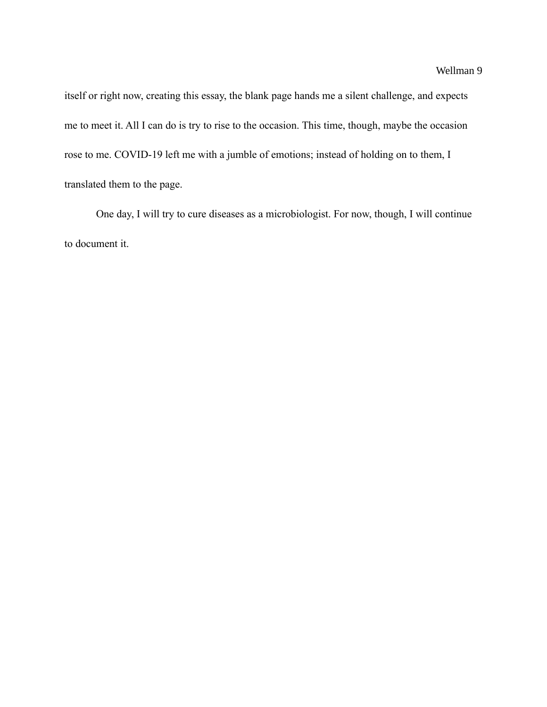itself or right now, creating this essay, the blank page hands me a silent challenge, and expects me to meet it. All I can do is try to rise to the occasion. This time, though, maybe the occasion rose to me. COVID-19 left me with a jumble of emotions; instead of holding on to them, I translated them to the page.

One day, I will try to cure diseases as a microbiologist. For now, though, I will continue to document it.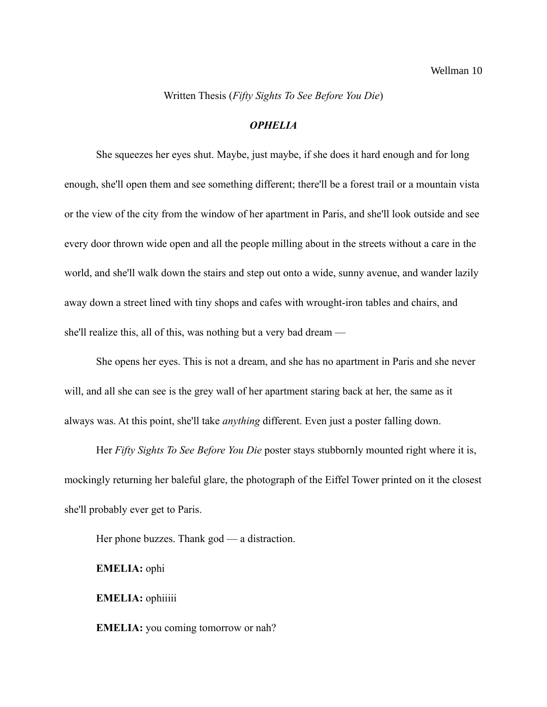Written Thesis (*Fifty Sights To See Before You Die*)

### *OPHELIA*

She squeezes her eyes shut. Maybe, just maybe, if she does it hard enough and for long enough, she'll open them and see something different; there'll be a forest trail or a mountain vista or the view of the city from the window of her apartment in Paris, and she'll look outside and see every door thrown wide open and all the people milling about in the streets without a care in the world, and she'll walk down the stairs and step out onto a wide, sunny avenue, and wander lazily away down a street lined with tiny shops and cafes with wrought-iron tables and chairs, and she'll realize this, all of this, was nothing but a very bad dream —

She opens her eyes. This is not a dream, and she has no apartment in Paris and she never will, and all she can see is the grey wall of her apartment staring back at her, the same as it always was. At this point, she'll take *anything* different. Even just a poster falling down.

Her *Fifty Sights To See Before You Die* poster stays stubbornly mounted right where it is, mockingly returning her baleful glare, the photograph of the Eiffel Tower printed on it the closest she'll probably ever get to Paris.

Her phone buzzes. Thank god — a distraction.

**EMELIA:** ophi

**EMELIA:** ophiiiii

**EMELIA:** you coming tomorrow or nah?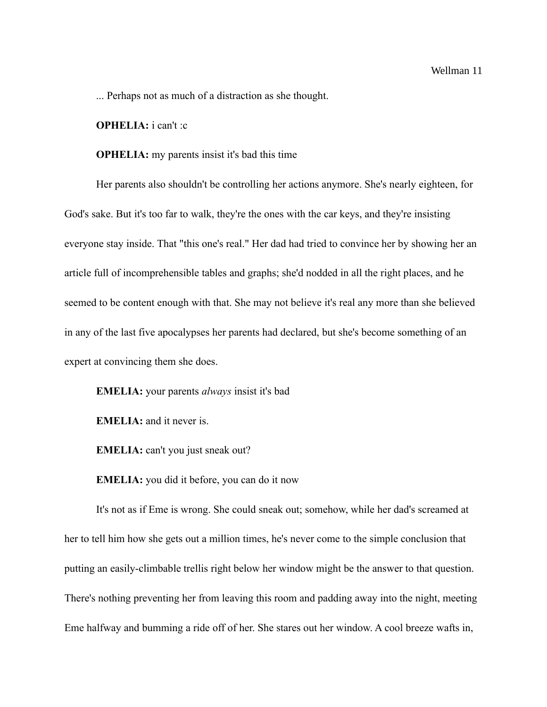... Perhaps not as much of a distraction as she thought.

#### **OPHELIA:** i can't :c

### **OPHELIA:** my parents insist it's bad this time

Her parents also shouldn't be controlling her actions anymore. She's nearly eighteen, for God's sake. But it's too far to walk, they're the ones with the car keys, and they're insisting everyone stay inside. That "this one's real." Her dad had tried to convince her by showing her an article full of incomprehensible tables and graphs; she'd nodded in all the right places, and he seemed to be content enough with that. She may not believe it's real any more than she believed in any of the last five apocalypses her parents had declared, but she's become something of an expert at convincing them she does.

**EMELIA:** your parents *always* insist it's bad

**EMELIA:** and it never is.

**EMELIA:** can't you just sneak out?

**EMELIA:** you did it before, you can do it now

It's not as if Eme is wrong. She could sneak out; somehow, while her dad's screamed at her to tell him how she gets out a million times, he's never come to the simple conclusion that putting an easily-climbable trellis right below her window might be the answer to that question. There's nothing preventing her from leaving this room and padding away into the night, meeting Eme halfway and bumming a ride off of her. She stares out her window. A cool breeze wafts in,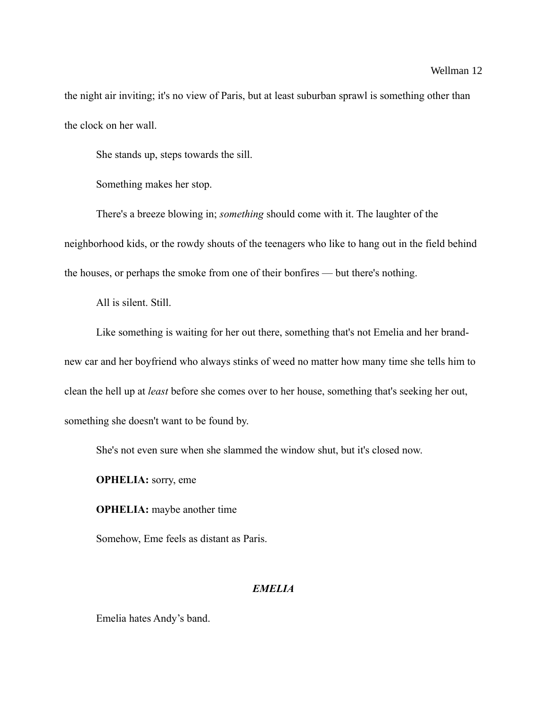### Wellman 12

the night air inviting; it's no view of Paris, but at least suburban sprawl is something other than the clock on her wall.

She stands up, steps towards the sill.

Something makes her stop.

There's a breeze blowing in; *something* should come with it. The laughter of the neighborhood kids, or the rowdy shouts of the teenagers who like to hang out in the field behind the houses, or perhaps the smoke from one of their bonfires — but there's nothing.

All is silent. Still.

Like something is waiting for her out there, something that's not Emelia and her brandnew car and her boyfriend who always stinks of weed no matter how many time she tells him to clean the hell up at *least* before she comes over to her house, something that's seeking her out, something she doesn't want to be found by.

She's not even sure when she slammed the window shut, but it's closed now.

**OPHELIA:** sorry, eme

**OPHELIA:** maybe another time

Somehow, Eme feels as distant as Paris.

## *EMELIA*

Emelia hates Andy's band.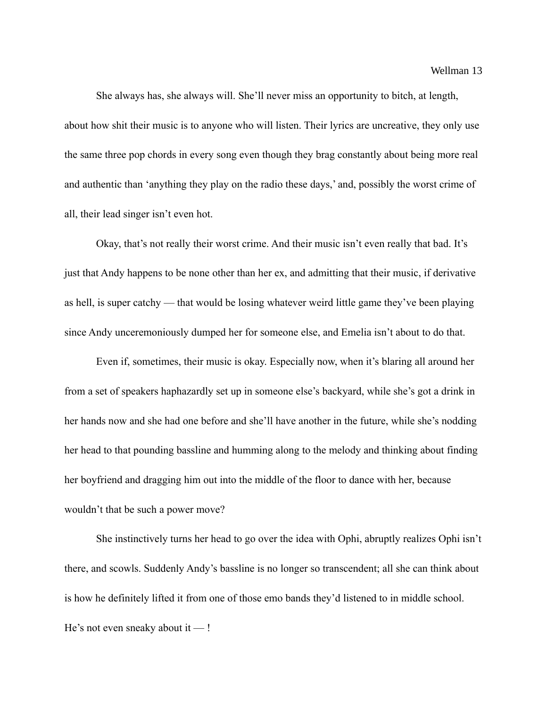She always has, she always will. She'll never miss an opportunity to bitch, at length, about how shit their music is to anyone who will listen. Their lyrics are uncreative, they only use the same three pop chords in every song even though they brag constantly about being more real and authentic than 'anything they play on the radio these days,' and, possibly the worst crime of all, their lead singer isn't even hot.

Okay, that's not really their worst crime. And their music isn't even really that bad. It's just that Andy happens to be none other than her ex, and admitting that their music, if derivative as hell, is super catchy — that would be losing whatever weird little game they've been playing since Andy unceremoniously dumped her for someone else, and Emelia isn't about to do that.

Even if, sometimes, their music is okay. Especially now, when it's blaring all around her from a set of speakers haphazardly set up in someone else's backyard, while she's got a drink in her hands now and she had one before and she'll have another in the future, while she's nodding her head to that pounding bassline and humming along to the melody and thinking about finding her boyfriend and dragging him out into the middle of the floor to dance with her, because wouldn't that be such a power move?

She instinctively turns her head to go over the idea with Ophi, abruptly realizes Ophi isn't there, and scowls. Suddenly Andy's bassline is no longer so transcendent; all she can think about is how he definitely lifted it from one of those emo bands they'd listened to in middle school. He's not even sneaky about it — !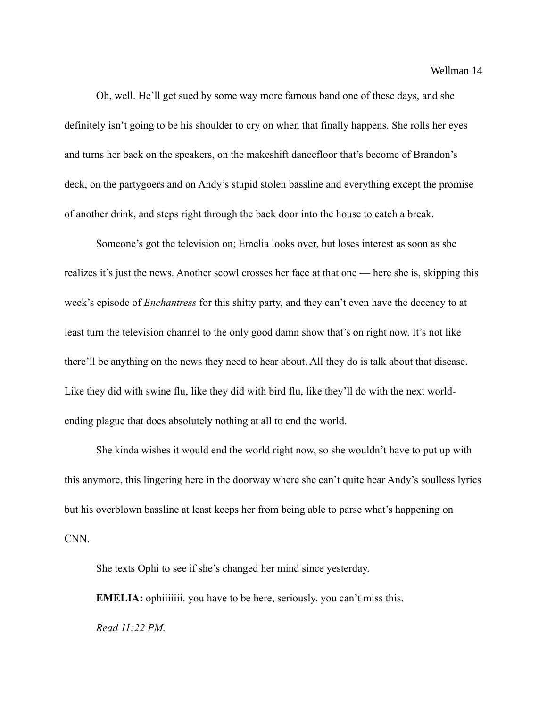Wellman 14

Oh, well. He'll get sued by some way more famous band one of these days, and she definitely isn't going to be his shoulder to cry on when that finally happens. She rolls her eyes and turns her back on the speakers, on the makeshift dancefloor that's become of Brandon's deck, on the partygoers and on Andy's stupid stolen bassline and everything except the promise of another drink, and steps right through the back door into the house to catch a break.

Someone's got the television on; Emelia looks over, but loses interest as soon as she realizes it's just the news. Another scowl crosses her face at that one — here she is, skipping this week's episode of *Enchantress* for this shitty party, and they can't even have the decency to at least turn the television channel to the only good damn show that's on right now. It's not like there'll be anything on the news they need to hear about. All they do is talk about that disease. Like they did with swine flu, like they did with bird flu, like they'll do with the next worldending plague that does absolutely nothing at all to end the world.

She kinda wishes it would end the world right now, so she wouldn't have to put up with this anymore, this lingering here in the doorway where she can't quite hear Andy's soulless lyrics but his overblown bassline at least keeps her from being able to parse what's happening on CNN.

She texts Ophi to see if she's changed her mind since yesterday.

**EMELIA:** ophiiiiiii. you have to be here, seriously. you can't miss this.

*Read 11:22 PM.*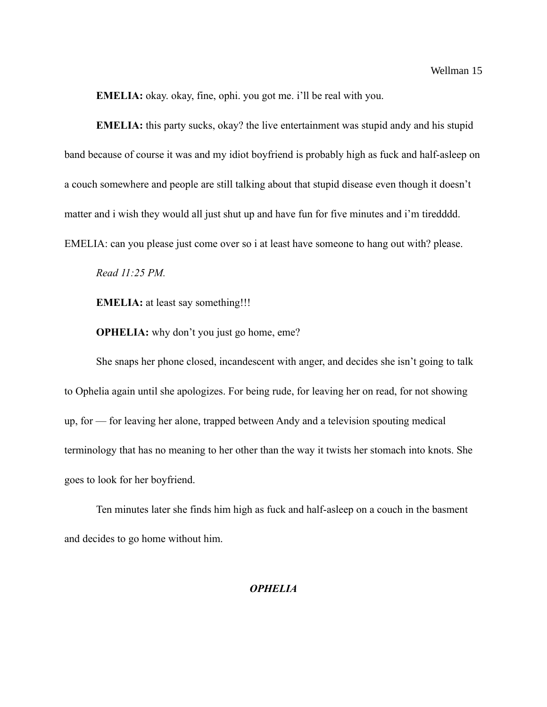**EMELIA:** okay. okay, fine, ophi. you got me. i'll be real with you.

**EMELIA:** this party sucks, okay? the live entertainment was stupid andy and his stupid band because of course it was and my idiot boyfriend is probably high as fuck and half-asleep on a couch somewhere and people are still talking about that stupid disease even though it doesn't matter and i wish they would all just shut up and have fun for five minutes and i'm tiredddd. EMELIA: can you please just come over so i at least have someone to hang out with? please.

*Read 11:25 PM.*

**EMELIA:** at least say something!!!

**OPHELIA:** why don't you just go home, eme?

She snaps her phone closed, incandescent with anger, and decides she isn't going to talk to Ophelia again until she apologizes. For being rude, for leaving her on read, for not showing up, for — for leaving her alone, trapped between Andy and a television spouting medical terminology that has no meaning to her other than the way it twists her stomach into knots. She goes to look for her boyfriend.

Ten minutes later she finds him high as fuck and half-asleep on a couch in the basment and decides to go home without him.

### *OPHELIA*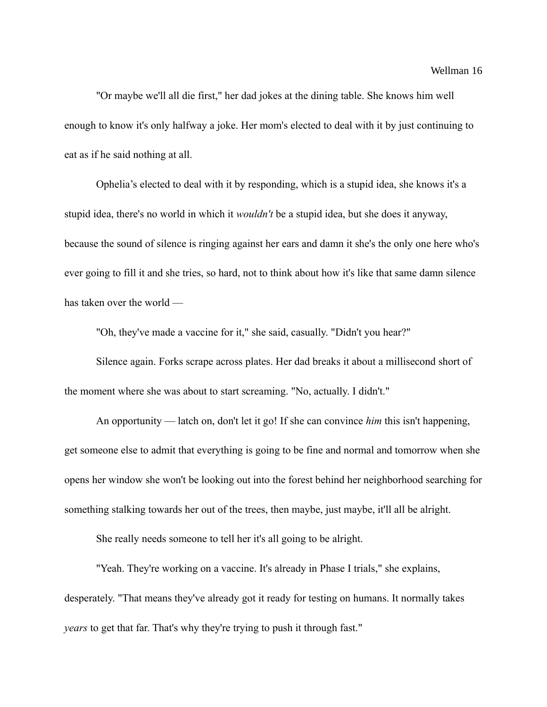"Or maybe we'll all die first," her dad jokes at the dining table. She knows him well enough to know it's only halfway a joke. Her mom's elected to deal with it by just continuing to eat as if he said nothing at all.

Ophelia's elected to deal with it by responding, which is a stupid idea, she knows it's a stupid idea, there's no world in which it *wouldn't* be a stupid idea, but she does it anyway, because the sound of silence is ringing against her ears and damn it she's the only one here who's ever going to fill it and she tries, so hard, not to think about how it's like that same damn silence has taken over the world —

"Oh, they've made a vaccine for it," she said, casually. "Didn't you hear?"

Silence again. Forks scrape across plates. Her dad breaks it about a millisecond short of the moment where she was about to start screaming. "No, actually. I didn't."

An opportunity — latch on, don't let it go! If she can convince *him* this isn't happening, get someone else to admit that everything is going to be fine and normal and tomorrow when she opens her window she won't be looking out into the forest behind her neighborhood searching for something stalking towards her out of the trees, then maybe, just maybe, it'll all be alright.

She really needs someone to tell her it's all going to be alright.

"Yeah. They're working on a vaccine. It's already in Phase I trials," she explains, desperately. "That means they've already got it ready for testing on humans. It normally takes *years* to get that far. That's why they're trying to push it through fast."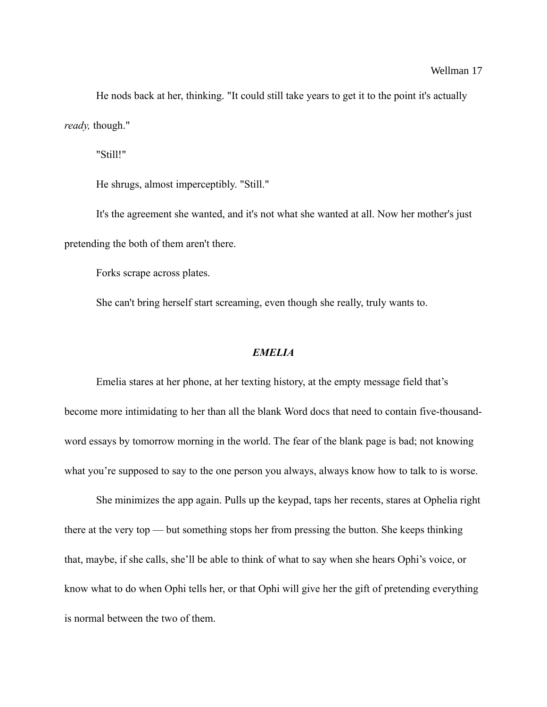He nods back at her, thinking. "It could still take years to get it to the point it's actually *ready,* though."

"Still!"

He shrugs, almost imperceptibly. "Still."

It's the agreement she wanted, and it's not what she wanted at all. Now her mother's just pretending the both of them aren't there.

Forks scrape across plates.

She can't bring herself start screaming, even though she really, truly wants to.

### *EMELIA*

Emelia stares at her phone, at her texting history, at the empty message field that's become more intimidating to her than all the blank Word docs that need to contain five-thousandword essays by tomorrow morning in the world. The fear of the blank page is bad; not knowing what you're supposed to say to the one person you always, always know how to talk to is worse.

She minimizes the app again. Pulls up the keypad, taps her recents, stares at Ophelia right there at the very top — but something stops her from pressing the button. She keeps thinking that, maybe, if she calls, she'll be able to think of what to say when she hears Ophi's voice, or know what to do when Ophi tells her, or that Ophi will give her the gift of pretending everything is normal between the two of them.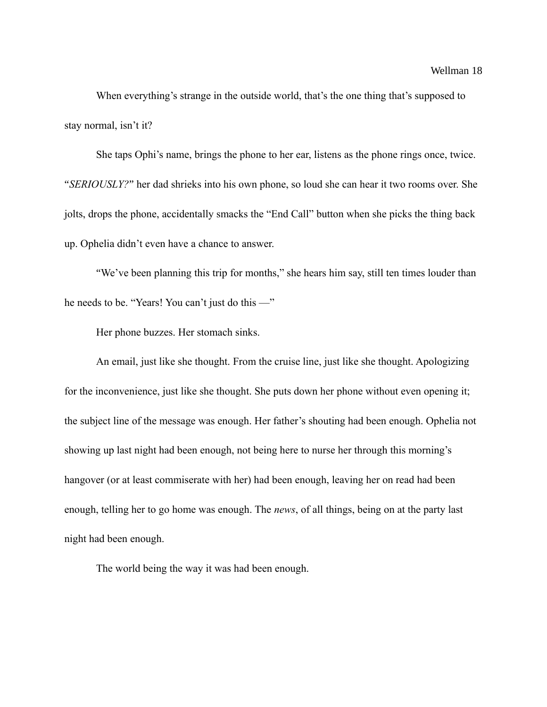When everything's strange in the outside world, that's the one thing that's supposed to stay normal, isn't it?

She taps Ophi's name, brings the phone to her ear, listens as the phone rings once, twice. "*SERIOUSLY?*" her dad shrieks into his own phone, so loud she can hear it two rooms over. She jolts, drops the phone, accidentally smacks the "End Call" button when she picks the thing back up. Ophelia didn't even have a chance to answer.

"We've been planning this trip for months," she hears him say, still ten times louder than he needs to be. "Years! You can't just do this —"

Her phone buzzes. Her stomach sinks.

An email, just like she thought. From the cruise line, just like she thought. Apologizing for the inconvenience, just like she thought. She puts down her phone without even opening it; the subject line of the message was enough. Her father's shouting had been enough. Ophelia not showing up last night had been enough, not being here to nurse her through this morning's hangover (or at least commiserate with her) had been enough, leaving her on read had been enough, telling her to go home was enough. The *news*, of all things, being on at the party last night had been enough.

The world being the way it was had been enough.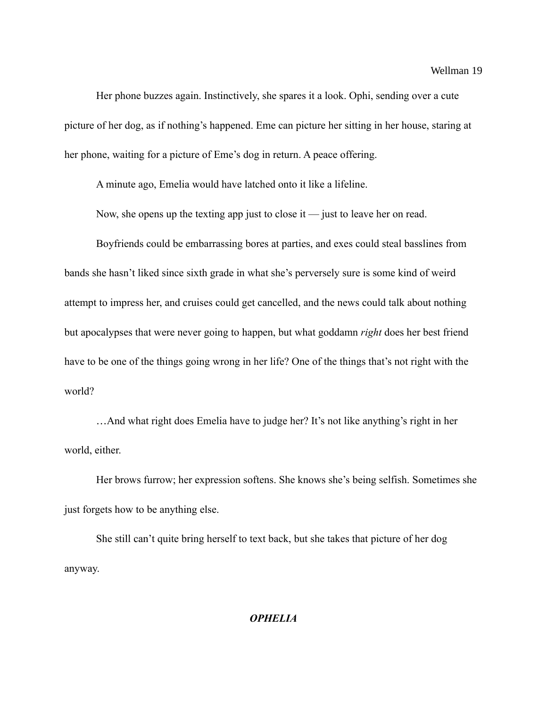Her phone buzzes again. Instinctively, she spares it a look. Ophi, sending over a cute picture of her dog, as if nothing's happened. Eme can picture her sitting in her house, staring at her phone, waiting for a picture of Eme's dog in return. A peace offering.

A minute ago, Emelia would have latched onto it like a lifeline.

Now, she opens up the texting app just to close it — just to leave her on read.

Boyfriends could be embarrassing bores at parties, and exes could steal basslines from bands she hasn't liked since sixth grade in what she's perversely sure is some kind of weird attempt to impress her, and cruises could get cancelled, and the news could talk about nothing but apocalypses that were never going to happen, but what goddamn *right* does her best friend have to be one of the things going wrong in her life? One of the things that's not right with the world?

…And what right does Emelia have to judge her? It's not like anything's right in her world, either.

Her brows furrow; her expression softens. She knows she's being selfish. Sometimes she just forgets how to be anything else.

She still can't quite bring herself to text back, but she takes that picture of her dog anyway.

## *OPHELIA*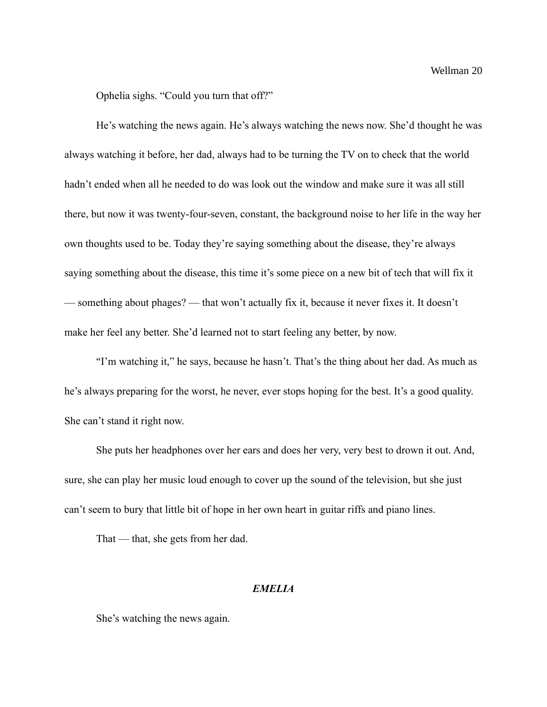Ophelia sighs. "Could you turn that off?"

He's watching the news again. He's always watching the news now. She'd thought he was always watching it before, her dad, always had to be turning the TV on to check that the world hadn't ended when all he needed to do was look out the window and make sure it was all still there, but now it was twenty-four-seven, constant, the background noise to her life in the way her own thoughts used to be. Today they're saying something about the disease, they're always saying something about the disease, this time it's some piece on a new bit of tech that will fix it — something about phages? — that won't actually fix it, because it never fixes it. It doesn't make her feel any better. She'd learned not to start feeling any better, by now.

"I'm watching it," he says, because he hasn't. That's the thing about her dad. As much as he's always preparing for the worst, he never, ever stops hoping for the best. It's a good quality. She can't stand it right now.

She puts her headphones over her ears and does her very, very best to drown it out. And, sure, she can play her music loud enough to cover up the sound of the television, but she just can't seem to bury that little bit of hope in her own heart in guitar riffs and piano lines.

That — that, she gets from her dad.

### *EMELIA*

She's watching the news again.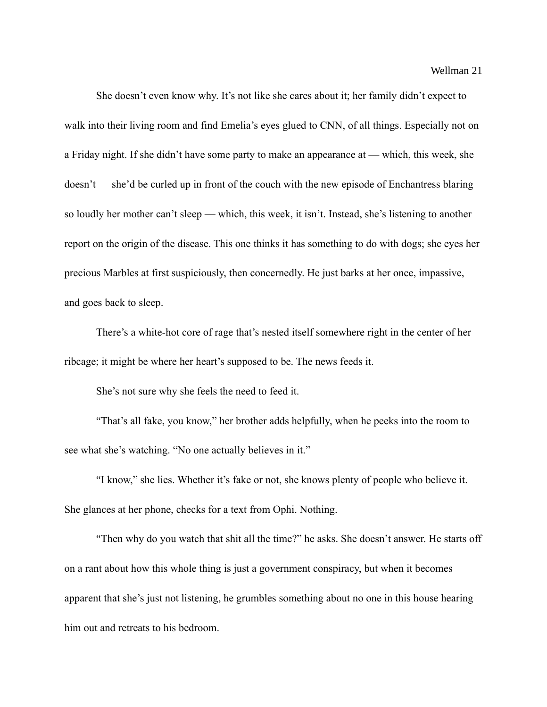Wellman 21

She doesn't even know why. It's not like she cares about it; her family didn't expect to walk into their living room and find Emelia's eyes glued to CNN, of all things. Especially not on a Friday night. If she didn't have some party to make an appearance at — which, this week, she doesn't — she'd be curled up in front of the couch with the new episode of Enchantress blaring so loudly her mother can't sleep — which, this week, it isn't. Instead, she's listening to another report on the origin of the disease. This one thinks it has something to do with dogs; she eyes her precious Marbles at first suspiciously, then concernedly. He just barks at her once, impassive, and goes back to sleep.

There's a white-hot core of rage that's nested itself somewhere right in the center of her ribcage; it might be where her heart's supposed to be. The news feeds it.

She's not sure why she feels the need to feed it.

"That's all fake, you know," her brother adds helpfully, when he peeks into the room to see what she's watching. "No one actually believes in it."

"I know," she lies. Whether it's fake or not, she knows plenty of people who believe it. She glances at her phone, checks for a text from Ophi. Nothing.

"Then why do you watch that shit all the time?" he asks. She doesn't answer. He starts off on a rant about how this whole thing is just a government conspiracy, but when it becomes apparent that she's just not listening, he grumbles something about no one in this house hearing him out and retreats to his bedroom.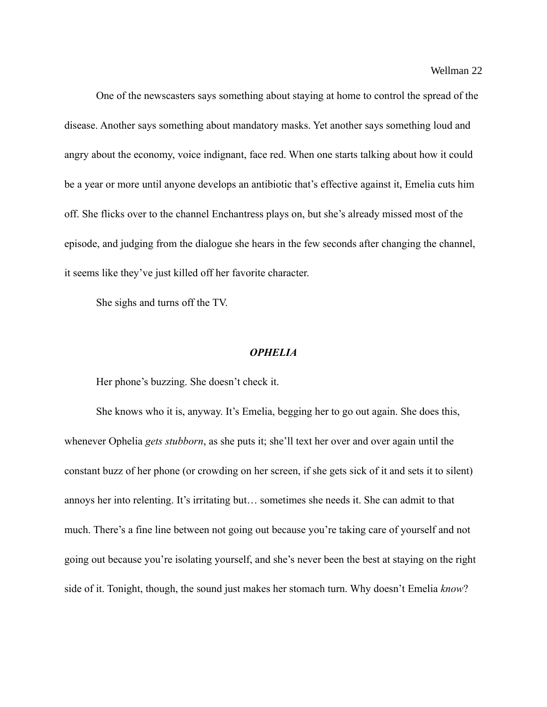One of the newscasters says something about staying at home to control the spread of the disease. Another says something about mandatory masks. Yet another says something loud and angry about the economy, voice indignant, face red. When one starts talking about how it could be a year or more until anyone develops an antibiotic that's effective against it, Emelia cuts him off. She flicks over to the channel Enchantress plays on, but she's already missed most of the episode, and judging from the dialogue she hears in the few seconds after changing the channel, it seems like they've just killed off her favorite character.

She sighs and turns off the TV.

#### *OPHELIA*

Her phone's buzzing. She doesn't check it.

She knows who it is, anyway. It's Emelia, begging her to go out again. She does this, whenever Ophelia *gets stubborn*, as she puts it; she'll text her over and over again until the constant buzz of her phone (or crowding on her screen, if she gets sick of it and sets it to silent) annoys her into relenting. It's irritating but… sometimes she needs it. She can admit to that much. There's a fine line between not going out because you're taking care of yourself and not going out because you're isolating yourself, and she's never been the best at staying on the right side of it. Tonight, though, the sound just makes her stomach turn. Why doesn't Emelia *know*?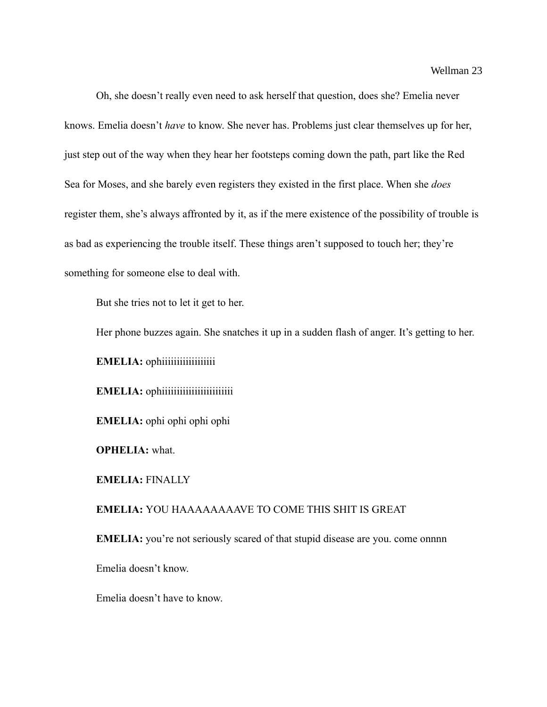Oh, she doesn't really even need to ask herself that question, does she? Emelia never knows. Emelia doesn't *have* to know. She never has. Problems just clear themselves up for her, just step out of the way when they hear her footsteps coming down the path, part like the Red Sea for Moses, and she barely even registers they existed in the first place. When she *does* register them, she's always affronted by it, as if the mere existence of the possibility of trouble is as bad as experiencing the trouble itself. These things aren't supposed to touch her; they're something for someone else to deal with.

But she tries not to let it get to her.

Her phone buzzes again. She snatches it up in a sudden flash of anger. It's getting to her.

**EMELIA:** ophiiiiiiiiiiiiiiiiiiii

**EMELIA:** ophiiiiiiiiiiiiiiiiiiiiiiiiiii

**EMELIA:** ophi ophi ophi ophi

**OPHELIA:** what.

**EMELIA:** FINALLY

**EMELIA:** YOU HAAAAAAAAVE TO COME THIS SHIT IS GREAT

**EMELIA:** you're not seriously scared of that stupid disease are you. come onnnn

Emelia doesn't know.

Emelia doesn't have to know.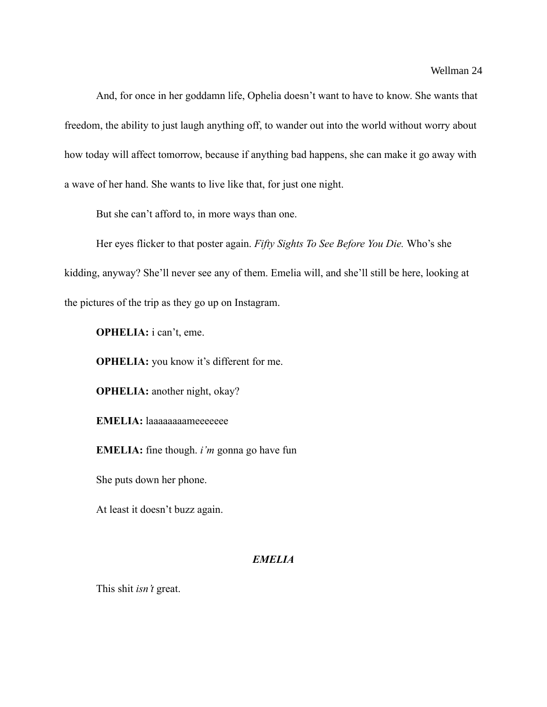And, for once in her goddamn life, Ophelia doesn't want to have to know. She wants that freedom, the ability to just laugh anything off, to wander out into the world without worry about how today will affect tomorrow, because if anything bad happens, she can make it go away with a wave of her hand. She wants to live like that, for just one night.

But she can't afford to, in more ways than one.

Her eyes flicker to that poster again. *Fifty Sights To See Before You Die.* Who's she kidding, anyway? She'll never see any of them. Emelia will, and she'll still be here, looking at the pictures of the trip as they go up on Instagram.

**OPHELIA:** i can't, eme.

**OPHELIA:** you know it's different for me.

**OPHELIA:** another night, okay?

**EMELIA:** laaaaaaaameeeeeee

**EMELIA:** fine though. *i'm* gonna go have fun

She puts down her phone.

At least it doesn't buzz again.

## *EMELIA*

This shit *isn't* great.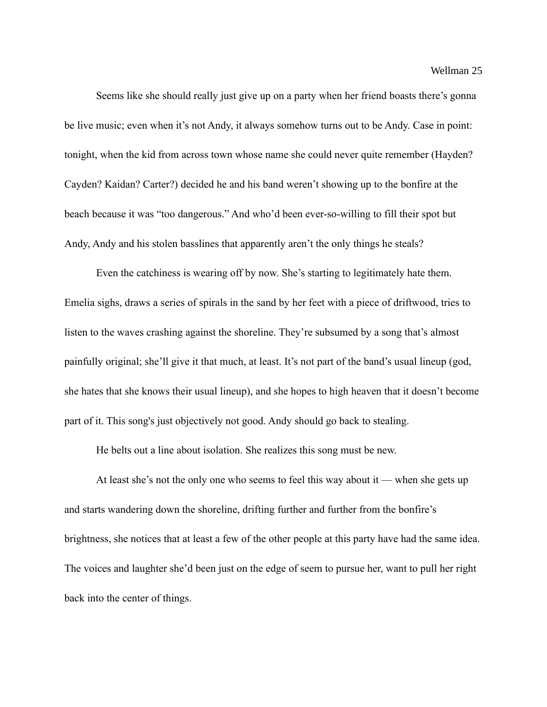Wellman 25

Seems like she should really just give up on a party when her friend boasts there's gonna be live music; even when it's not Andy, it always somehow turns out to be Andy. Case in point: tonight, when the kid from across town whose name she could never quite remember (Hayden? Cayden? Kaidan? Carter?) decided he and his band weren't showing up to the bonfire at the beach because it was "too dangerous." And who'd been ever-so-willing to fill their spot but Andy, Andy and his stolen basslines that apparently aren't the only things he steals?

Even the catchiness is wearing off by now. She's starting to legitimately hate them. Emelia sighs, draws a series of spirals in the sand by her feet with a piece of driftwood, tries to listen to the waves crashing against the shoreline. They're subsumed by a song that's almost painfully original; she'll give it that much, at least. It's not part of the band's usual lineup (god, she hates that she knows their usual lineup), and she hopes to high heaven that it doesn't become part of it. This song's just objectively not good. Andy should go back to stealing.

He belts out a line about isolation. She realizes this song must be new.

At least she's not the only one who seems to feel this way about it — when she gets up and starts wandering down the shoreline, drifting further and further from the bonfire's brightness, she notices that at least a few of the other people at this party have had the same idea. The voices and laughter she'd been just on the edge of seem to pursue her, want to pull her right back into the center of things.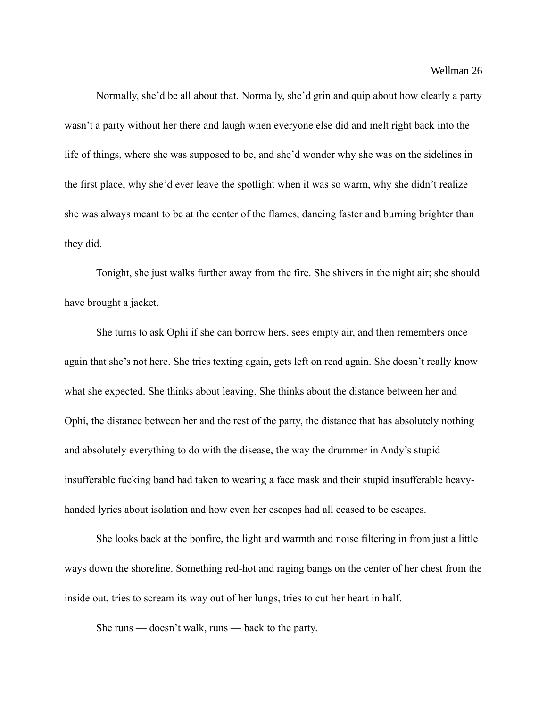Normally, she'd be all about that. Normally, she'd grin and quip about how clearly a party wasn't a party without her there and laugh when everyone else did and melt right back into the life of things, where she was supposed to be, and she'd wonder why she was on the sidelines in the first place, why she'd ever leave the spotlight when it was so warm, why she didn't realize she was always meant to be at the center of the flames, dancing faster and burning brighter than they did.

Tonight, she just walks further away from the fire. She shivers in the night air; she should have brought a jacket.

She turns to ask Ophi if she can borrow hers, sees empty air, and then remembers once again that she's not here. She tries texting again, gets left on read again. She doesn't really know what she expected. She thinks about leaving. She thinks about the distance between her and Ophi, the distance between her and the rest of the party, the distance that has absolutely nothing and absolutely everything to do with the disease, the way the drummer in Andy's stupid insufferable fucking band had taken to wearing a face mask and their stupid insufferable heavyhanded lyrics about isolation and how even her escapes had all ceased to be escapes.

She looks back at the bonfire, the light and warmth and noise filtering in from just a little ways down the shoreline. Something red-hot and raging bangs on the center of her chest from the inside out, tries to scream its way out of her lungs, tries to cut her heart in half.

She runs — doesn't walk, runs — back to the party.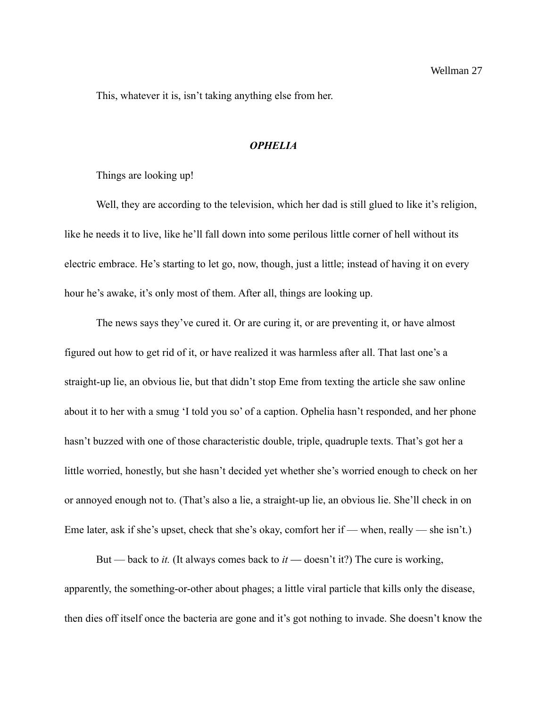This, whatever it is, isn't taking anything else from her.

#### *OPHELIA*

Things are looking up!

Well, they are according to the television, which her dad is still glued to like it's religion, like he needs it to live, like he'll fall down into some perilous little corner of hell without its electric embrace. He's starting to let go, now, though, just a little; instead of having it on every hour he's awake, it's only most of them. After all, things are looking up.

The news says they've cured it. Or are curing it, or are preventing it, or have almost figured out how to get rid of it, or have realized it was harmless after all. That last one's a straight-up lie, an obvious lie, but that didn't stop Eme from texting the article she saw online about it to her with a smug 'I told you so' of a caption. Ophelia hasn't responded, and her phone hasn't buzzed with one of those characteristic double, triple, quadruple texts. That's got her a little worried, honestly, but she hasn't decided yet whether she's worried enough to check on her or annoyed enough not to. (That's also a lie, a straight-up lie, an obvious lie. She'll check in on Eme later, ask if she's upset, check that she's okay, comfort her if — when, really — she isn't.)

But — back to *it.* (It always comes back to *it* — doesn't it?) The cure is working, apparently, the something-or-other about phages; a little viral particle that kills only the disease, then dies off itself once the bacteria are gone and it's got nothing to invade. She doesn't know the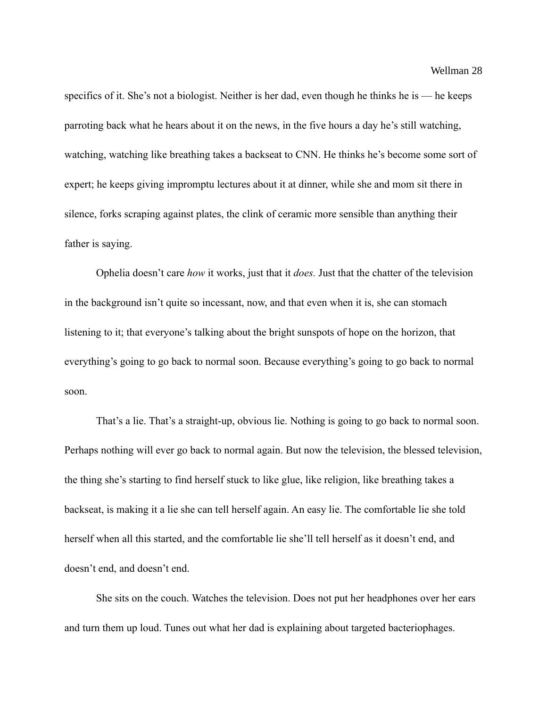specifics of it. She's not a biologist. Neither is her dad, even though he thinks he is — he keeps parroting back what he hears about it on the news, in the five hours a day he's still watching, watching, watching like breathing takes a backseat to CNN. He thinks he's become some sort of expert; he keeps giving impromptu lectures about it at dinner, while she and mom sit there in silence, forks scraping against plates, the clink of ceramic more sensible than anything their father is saying.

Ophelia doesn't care *how* it works, just that it *does.* Just that the chatter of the television in the background isn't quite so incessant, now, and that even when it is, she can stomach listening to it; that everyone's talking about the bright sunspots of hope on the horizon, that everything's going to go back to normal soon. Because everything's going to go back to normal soon.

That's a lie. That's a straight-up, obvious lie. Nothing is going to go back to normal soon. Perhaps nothing will ever go back to normal again. But now the television, the blessed television, the thing she's starting to find herself stuck to like glue, like religion, like breathing takes a backseat, is making it a lie she can tell herself again. An easy lie. The comfortable lie she told herself when all this started, and the comfortable lie she'll tell herself as it doesn't end, and doesn't end, and doesn't end.

She sits on the couch. Watches the television. Does not put her headphones over her ears and turn them up loud. Tunes out what her dad is explaining about targeted bacteriophages.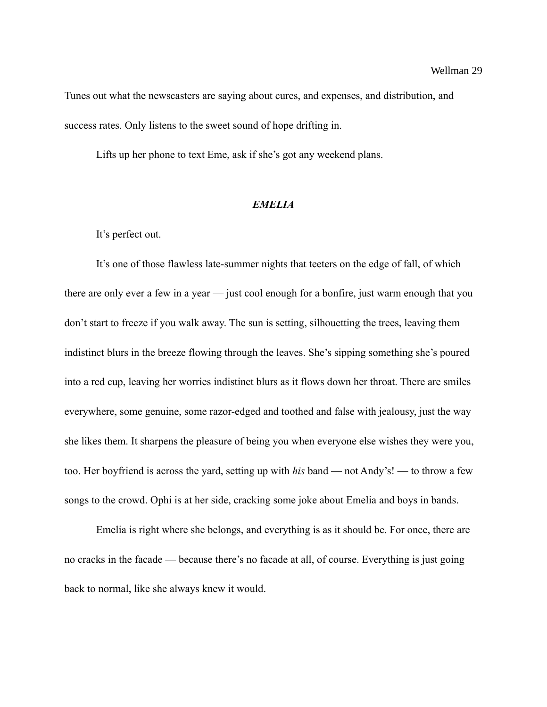Tunes out what the newscasters are saying about cures, and expenses, and distribution, and success rates. Only listens to the sweet sound of hope drifting in.

Lifts up her phone to text Eme, ask if she's got any weekend plans.

### *EMELIA*

It's perfect out.

It's one of those flawless late-summer nights that teeters on the edge of fall, of which there are only ever a few in a year — just cool enough for a bonfire, just warm enough that you don't start to freeze if you walk away. The sun is setting, silhouetting the trees, leaving them indistinct blurs in the breeze flowing through the leaves. She's sipping something she's poured into a red cup, leaving her worries indistinct blurs as it flows down her throat. There are smiles everywhere, some genuine, some razor-edged and toothed and false with jealousy, just the way she likes them. It sharpens the pleasure of being you when everyone else wishes they were you, too. Her boyfriend is across the yard, setting up with *his* band — not Andy's! — to throw a few songs to the crowd. Ophi is at her side, cracking some joke about Emelia and boys in bands.

Emelia is right where she belongs, and everything is as it should be. For once, there are no cracks in the facade — because there's no facade at all, of course. Everything is just going back to normal, like she always knew it would.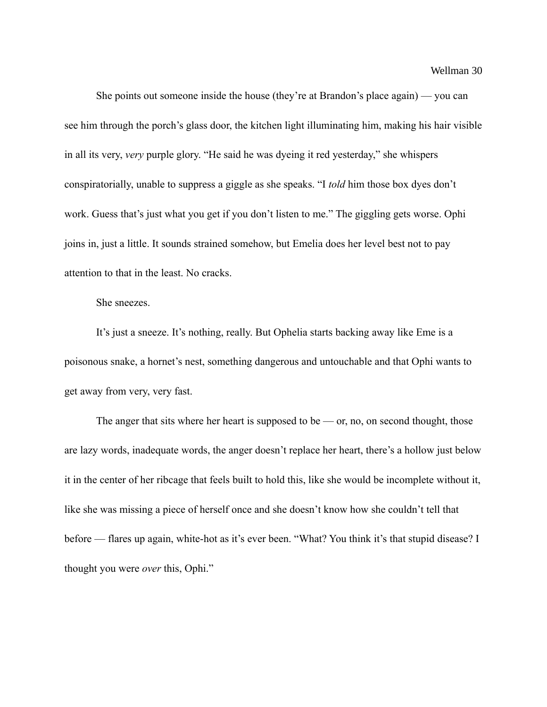She points out someone inside the house (they're at Brandon's place again) — you can see him through the porch's glass door, the kitchen light illuminating him, making his hair visible in all its very, *very* purple glory. "He said he was dyeing it red yesterday," she whispers conspiratorially, unable to suppress a giggle as she speaks. "I *told* him those box dyes don't work. Guess that's just what you get if you don't listen to me." The giggling gets worse. Ophi joins in, just a little. It sounds strained somehow, but Emelia does her level best not to pay attention to that in the least. No cracks.

### She sneezes.

It's just a sneeze. It's nothing, really. But Ophelia starts backing away like Eme is a poisonous snake, a hornet's nest, something dangerous and untouchable and that Ophi wants to get away from very, very fast.

The anger that sits where her heart is supposed to be  $-$  or, no, on second thought, those are lazy words, inadequate words, the anger doesn't replace her heart, there's a hollow just below it in the center of her ribcage that feels built to hold this, like she would be incomplete without it, like she was missing a piece of herself once and she doesn't know how she couldn't tell that before — flares up again, white-hot as it's ever been. "What? You think it's that stupid disease? I thought you were *over* this, Ophi."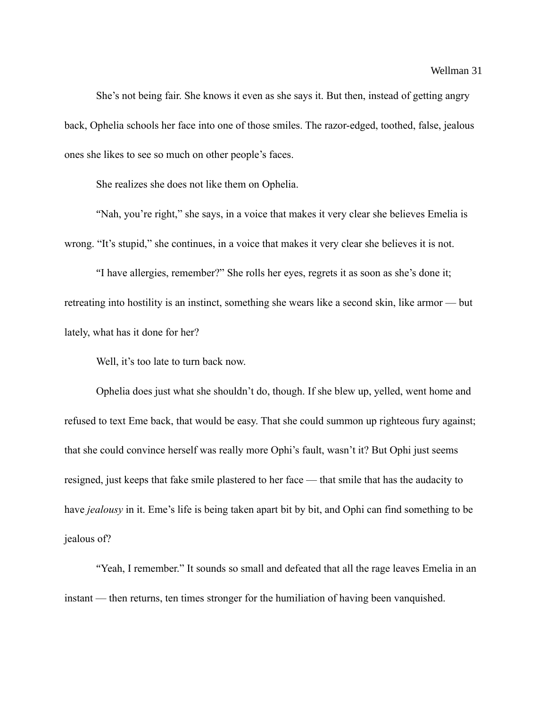She's not being fair. She knows it even as she says it. But then, instead of getting angry back, Ophelia schools her face into one of those smiles. The razor-edged, toothed, false, jealous ones she likes to see so much on other people's faces.

She realizes she does not like them on Ophelia.

"Nah, you're right," she says, in a voice that makes it very clear she believes Emelia is wrong. "It's stupid," she continues, in a voice that makes it very clear she believes it is not.

"I have allergies, remember?" She rolls her eyes, regrets it as soon as she's done it; retreating into hostility is an instinct, something she wears like a second skin, like armor — but lately, what has it done for her?

Well, it's too late to turn back now.

Ophelia does just what she shouldn't do, though. If she blew up, yelled, went home and refused to text Eme back, that would be easy. That she could summon up righteous fury against; that she could convince herself was really more Ophi's fault, wasn't it? But Ophi just seems resigned, just keeps that fake smile plastered to her face — that smile that has the audacity to have *jealousy* in it. Eme's life is being taken apart bit by bit, and Ophi can find something to be jealous of?

"Yeah, I remember." It sounds so small and defeated that all the rage leaves Emelia in an instant — then returns, ten times stronger for the humiliation of having been vanquished.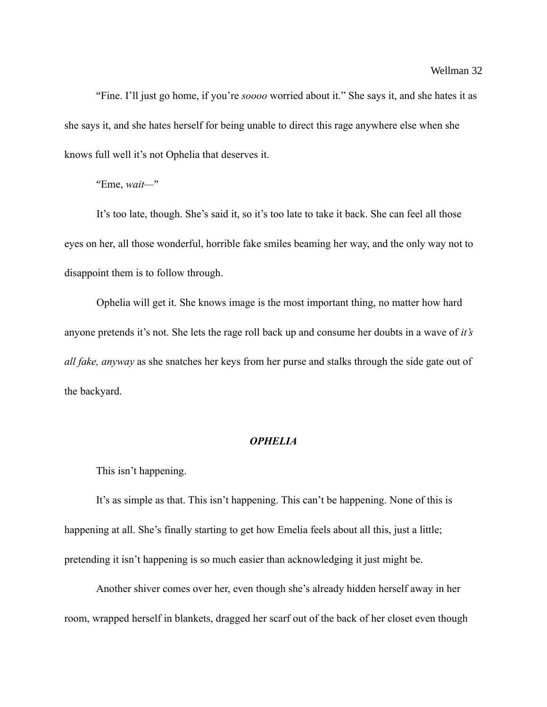"Fine. I'll just go home, if you're *soooo* worried about it." She says it, and she hates it as she says it, and she hates herself for being unable to direct this rage anywhere else when she knows full well it's not Ophelia that deserves it.

"Eme, *wait—*"

It's too late, though. She's said it, so it's too late to take it back. She can feel all those eyes on her, all those wonderful, horrible fake smiles beaming her way, and the only way not to disappoint them is to follow through.

Ophelia will get it. She knows image is the most important thing, no matter how hard anyone pretends it's not. She lets the rage roll back up and consume her doubts in a wave of *it's all fake, anyway* as she snatches her keys from her purse and stalks through the side gate out of the backyard.

### *OPHELIA*

This isn't happening.

It's as simple as that. This isn't happening. This can't be happening. None of this is happening at all. She's finally starting to get how Emelia feels about all this, just a little; pretending it isn't happening is so much easier than acknowledging it just might be.

Another shiver comes over her, even though she's already hidden herself away in her room, wrapped herself in blankets, dragged her scarf out of the back of her closet even though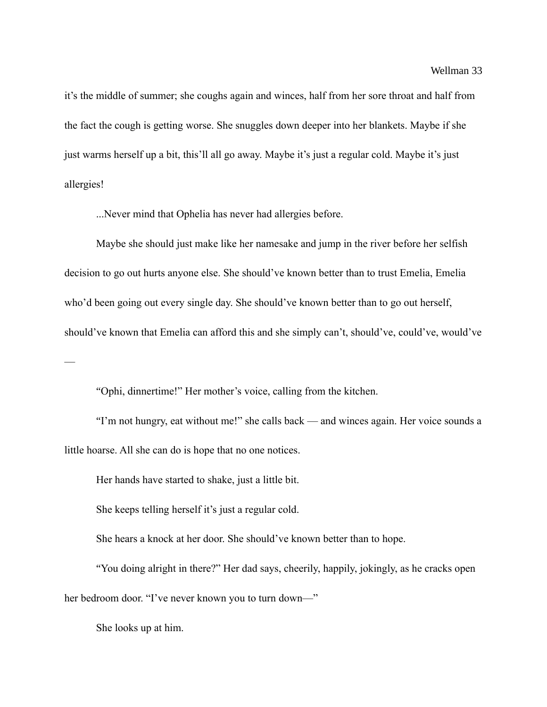it's the middle of summer; she coughs again and winces, half from her sore throat and half from the fact the cough is getting worse. She snuggles down deeper into her blankets. Maybe if she just warms herself up a bit, this'll all go away. Maybe it's just a regular cold. Maybe it's just allergies!

...Never mind that Ophelia has never had allergies before.

Maybe she should just make like her namesake and jump in the river before her selfish decision to go out hurts anyone else. She should've known better than to trust Emelia, Emelia who'd been going out every single day. She should've known better than to go out herself, should've known that Emelia can afford this and she simply can't, should've, could've, would've

"Ophi, dinnertime!" Her mother's voice, calling from the kitchen.

"I'm not hungry, eat without me!" she calls back — and winces again. Her voice sounds a little hoarse. All she can do is hope that no one notices.

Her hands have started to shake, just a little bit.

She keeps telling herself it's just a regular cold.

She hears a knock at her door. She should've known better than to hope.

"You doing alright in there?" Her dad says, cheerily, happily, jokingly, as he cracks open her bedroom door. "I've never known you to turn down—"

She looks up at him.

 $\overline{\phantom{a}}$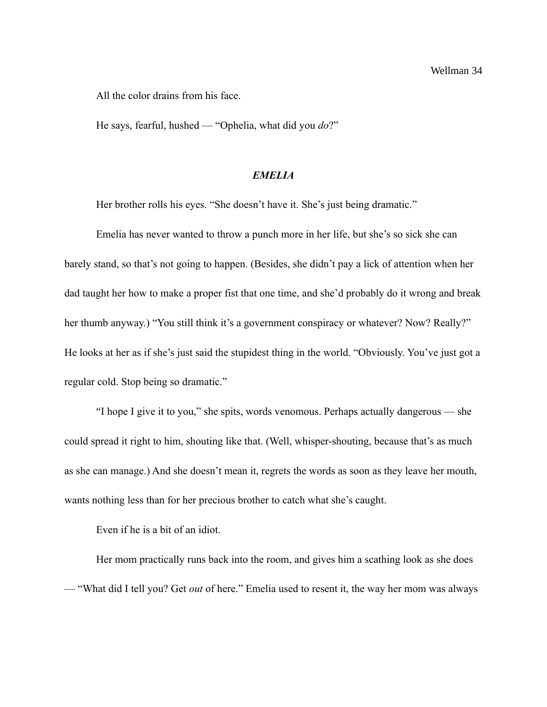All the color drains from his face.

He says, fearful, hushed — "Ophelia, what did you *do*?"

### *EMELIA*

Her brother rolls his eyes. "She doesn't have it. She's just being dramatic."

Emelia has never wanted to throw a punch more in her life, but she's so sick she can barely stand, so that's not going to happen. (Besides, she didn't pay a lick of attention when her dad taught her how to make a proper fist that one time, and she'd probably do it wrong and break her thumb anyway.) "You still think it's a government conspiracy or whatever? Now? Really?" He looks at her as if she's just said the stupidest thing in the world. "Obviously. You've just got a regular cold. Stop being so dramatic."

"I hope I give it to you," she spits, words venomous. Perhaps actually dangerous — she could spread it right to him, shouting like that. (Well, whisper-shouting, because that's as much as she can manage.) And she doesn't mean it, regrets the words as soon as they leave her mouth, wants nothing less than for her precious brother to catch what she's caught.

Even if he is a bit of an idiot.

Her mom practically runs back into the room, and gives him a scathing look as she does — "What did I tell you? Get *out* of here." Emelia used to resent it, the way her mom was always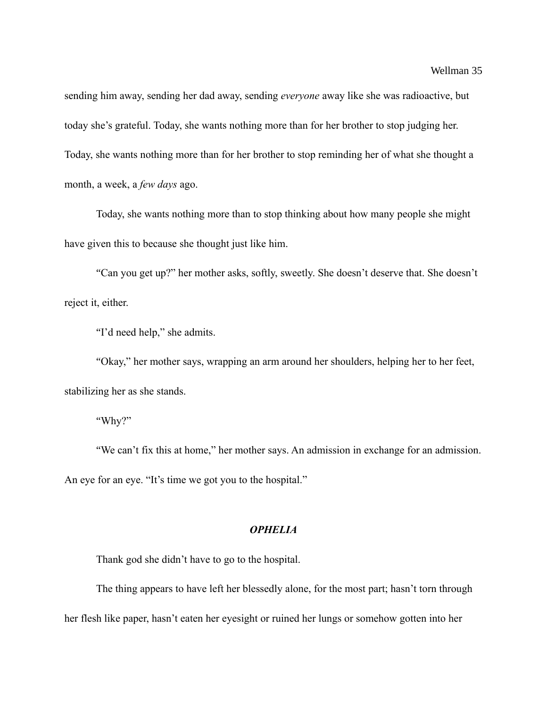sending him away, sending her dad away, sending *everyone* away like she was radioactive, but today she's grateful. Today, she wants nothing more than for her brother to stop judging her. Today, she wants nothing more than for her brother to stop reminding her of what she thought a month, a week, a *few days* ago.

Today, she wants nothing more than to stop thinking about how many people she might have given this to because she thought just like him.

"Can you get up?" her mother asks, softly, sweetly. She doesn't deserve that. She doesn't reject it, either.

"I'd need help," she admits.

"Okay," her mother says, wrapping an arm around her shoulders, helping her to her feet, stabilizing her as she stands.

"Why?"

"We can't fix this at home," her mother says. An admission in exchange for an admission. An eye for an eye. "It's time we got you to the hospital."

### *OPHELIA*

Thank god she didn't have to go to the hospital.

The thing appears to have left her blessedly alone, for the most part; hasn't torn through

her flesh like paper, hasn't eaten her eyesight or ruined her lungs or somehow gotten into her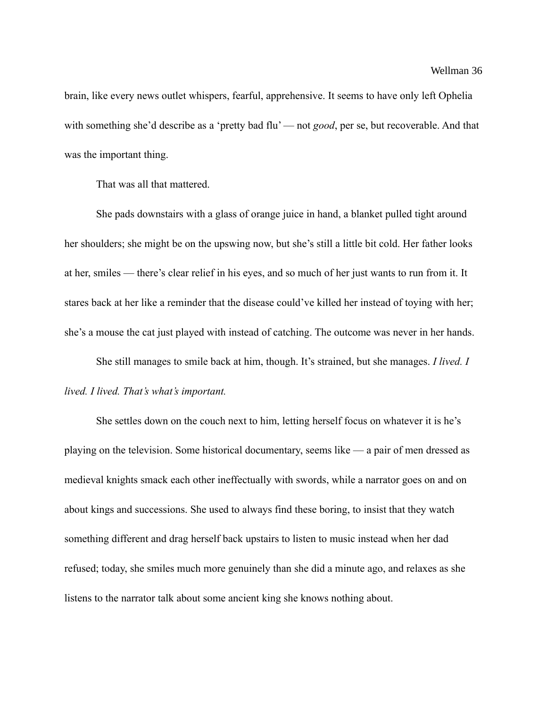brain, like every news outlet whispers, fearful, apprehensive. It seems to have only left Ophelia with something she'd describe as a 'pretty bad flu' — not *good*, per se, but recoverable. And that was the important thing.

That was all that mattered.

She pads downstairs with a glass of orange juice in hand, a blanket pulled tight around her shoulders; she might be on the upswing now, but she's still a little bit cold. Her father looks at her, smiles — there's clear relief in his eyes, and so much of her just wants to run from it. It stares back at her like a reminder that the disease could've killed her instead of toying with her; she's a mouse the cat just played with instead of catching. The outcome was never in her hands.

She still manages to smile back at him, though. It's strained, but she manages. *I lived. I lived. I lived. That's what's important.*

She settles down on the couch next to him, letting herself focus on whatever it is he's playing on the television. Some historical documentary, seems like — a pair of men dressed as medieval knights smack each other ineffectually with swords, while a narrator goes on and on about kings and successions. She used to always find these boring, to insist that they watch something different and drag herself back upstairs to listen to music instead when her dad refused; today, she smiles much more genuinely than she did a minute ago, and relaxes as she listens to the narrator talk about some ancient king she knows nothing about.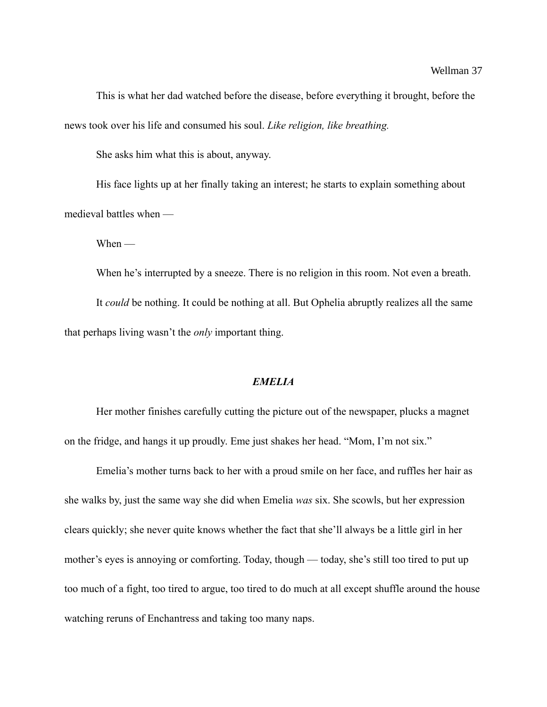This is what her dad watched before the disease, before everything it brought, before the news took over his life and consumed his soul. *Like religion, like breathing.*

She asks him what this is about, anyway.

His face lights up at her finally taking an interest; he starts to explain something about medieval battles when —

When —

When he's interrupted by a sneeze. There is no religion in this room. Not even a breath. It *could* be nothing. It could be nothing at all. But Ophelia abruptly realizes all the same that perhaps living wasn't the *only* important thing.

### *EMELIA*

Her mother finishes carefully cutting the picture out of the newspaper, plucks a magnet on the fridge, and hangs it up proudly. Eme just shakes her head. "Mom, I'm not six."

Emelia's mother turns back to her with a proud smile on her face, and ruffles her hair as she walks by, just the same way she did when Emelia *was* six. She scowls, but her expression clears quickly; she never quite knows whether the fact that she'll always be a little girl in her mother's eyes is annoying or comforting. Today, though — today, she's still too tired to put up too much of a fight, too tired to argue, too tired to do much at all except shuffle around the house watching reruns of Enchantress and taking too many naps.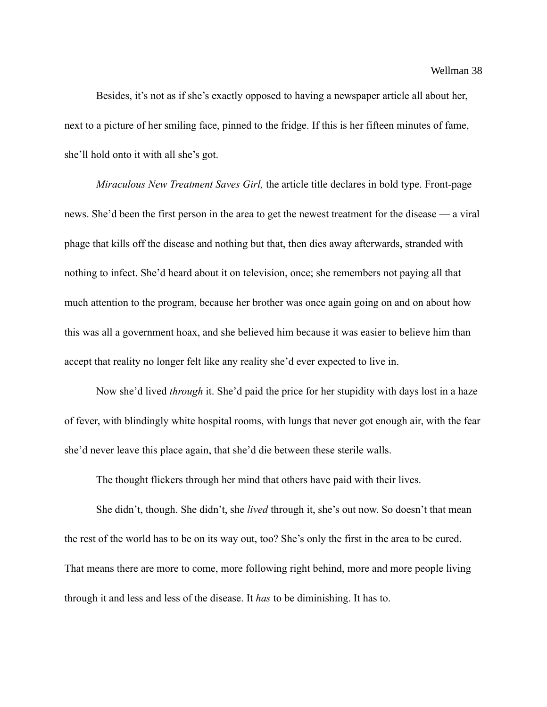Besides, it's not as if she's exactly opposed to having a newspaper article all about her, next to a picture of her smiling face, pinned to the fridge. If this is her fifteen minutes of fame, she'll hold onto it with all she's got.

*Miraculous New Treatment Saves Girl,* the article title declares in bold type. Front-page news. She'd been the first person in the area to get the newest treatment for the disease — a viral phage that kills off the disease and nothing but that, then dies away afterwards, stranded with nothing to infect. She'd heard about it on television, once; she remembers not paying all that much attention to the program, because her brother was once again going on and on about how this was all a government hoax, and she believed him because it was easier to believe him than accept that reality no longer felt like any reality she'd ever expected to live in.

Now she'd lived *through* it. She'd paid the price for her stupidity with days lost in a haze of fever, with blindingly white hospital rooms, with lungs that never got enough air, with the fear she'd never leave this place again, that she'd die between these sterile walls.

The thought flickers through her mind that others have paid with their lives.

She didn't, though. She didn't, she *lived* through it, she's out now. So doesn't that mean the rest of the world has to be on its way out, too? She's only the first in the area to be cured. That means there are more to come, more following right behind, more and more people living through it and less and less of the disease. It *has* to be diminishing. It has to.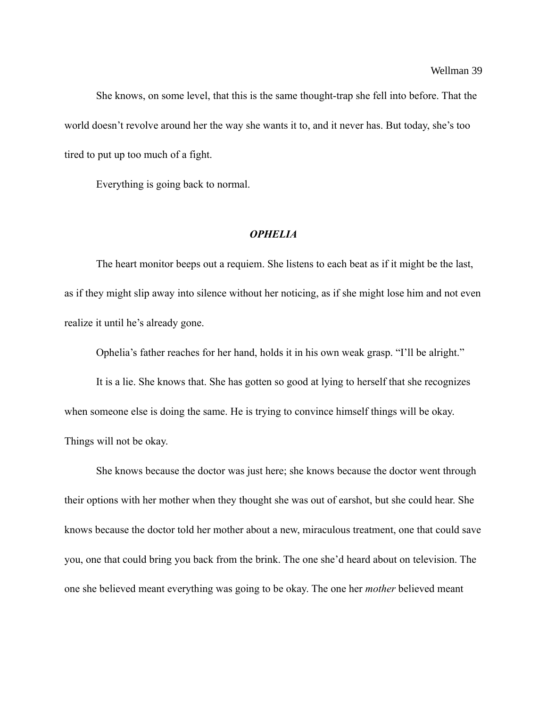She knows, on some level, that this is the same thought-trap she fell into before. That the world doesn't revolve around her the way she wants it to, and it never has. But today, she's too tired to put up too much of a fight.

Everything is going back to normal.

#### *OPHELIA*

The heart monitor beeps out a requiem. She listens to each beat as if it might be the last, as if they might slip away into silence without her noticing, as if she might lose him and not even realize it until he's already gone.

Ophelia's father reaches for her hand, holds it in his own weak grasp. "I'll be alright."

It is a lie. She knows that. She has gotten so good at lying to herself that she recognizes when someone else is doing the same. He is trying to convince himself things will be okay. Things will not be okay.

She knows because the doctor was just here; she knows because the doctor went through their options with her mother when they thought she was out of earshot, but she could hear. She knows because the doctor told her mother about a new, miraculous treatment, one that could save you, one that could bring you back from the brink. The one she'd heard about on television. The one she believed meant everything was going to be okay. The one her *mother* believed meant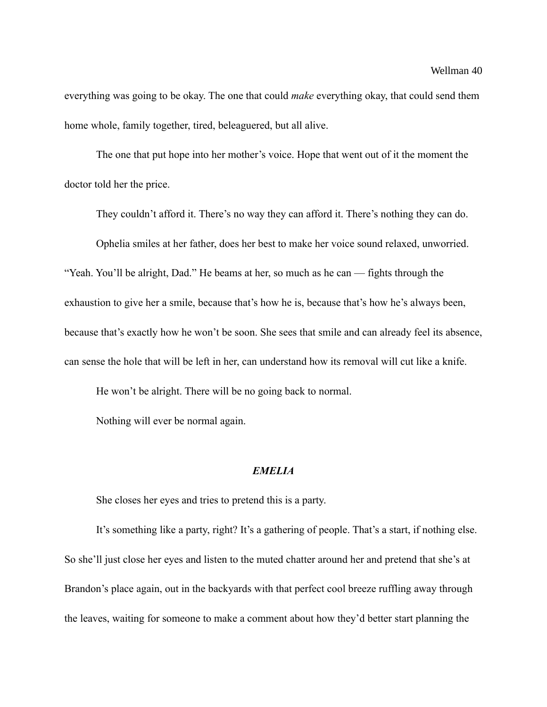everything was going to be okay. The one that could *make* everything okay, that could send them home whole, family together, tired, beleaguered, but all alive.

The one that put hope into her mother's voice. Hope that went out of it the moment the doctor told her the price.

They couldn't afford it. There's no way they can afford it. There's nothing they can do.

Ophelia smiles at her father, does her best to make her voice sound relaxed, unworried.

"Yeah. You'll be alright, Dad." He beams at her, so much as he can — fights through the exhaustion to give her a smile, because that's how he is, because that's how he's always been, because that's exactly how he won't be soon. She sees that smile and can already feel its absence, can sense the hole that will be left in her, can understand how its removal will cut like a knife.

He won't be alright. There will be no going back to normal.

Nothing will ever be normal again.

### *EMELIA*

She closes her eyes and tries to pretend this is a party.

It's something like a party, right? It's a gathering of people. That's a start, if nothing else. So she'll just close her eyes and listen to the muted chatter around her and pretend that she's at Brandon's place again, out in the backyards with that perfect cool breeze ruffling away through the leaves, waiting for someone to make a comment about how they'd better start planning the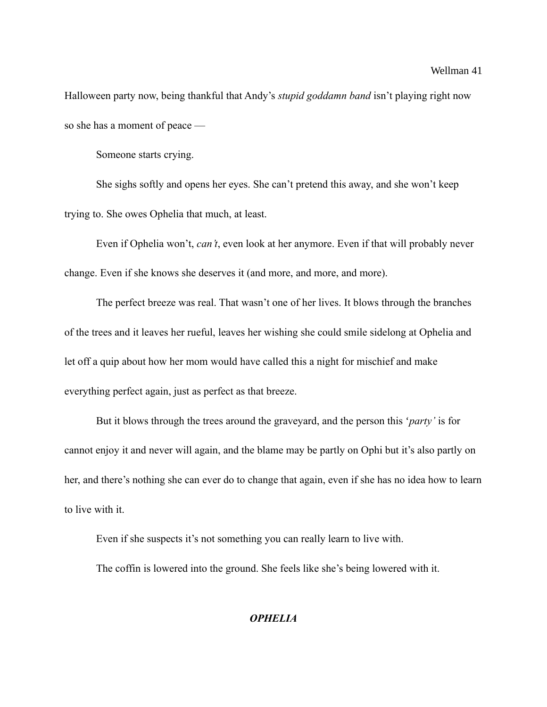#### Wellman 41

Halloween party now, being thankful that Andy's *stupid goddamn band* isn't playing right now so she has a moment of peace —

Someone starts crying.

She sighs softly and opens her eyes. She can't pretend this away, and she won't keep trying to. She owes Ophelia that much, at least.

Even if Ophelia won't, *can't*, even look at her anymore. Even if that will probably never change. Even if she knows she deserves it (and more, and more, and more).

The perfect breeze was real. That wasn't one of her lives. It blows through the branches of the trees and it leaves her rueful, leaves her wishing she could smile sidelong at Ophelia and let off a quip about how her mom would have called this a night for mischief and make everything perfect again, just as perfect as that breeze.

But it blows through the trees around the graveyard, and the person this '*party'* is for cannot enjoy it and never will again, and the blame may be partly on Ophi but it's also partly on her, and there's nothing she can ever do to change that again, even if she has no idea how to learn to live with it.

Even if she suspects it's not something you can really learn to live with.

The coffin is lowered into the ground. She feels like she's being lowered with it.

## *OPHELIA*